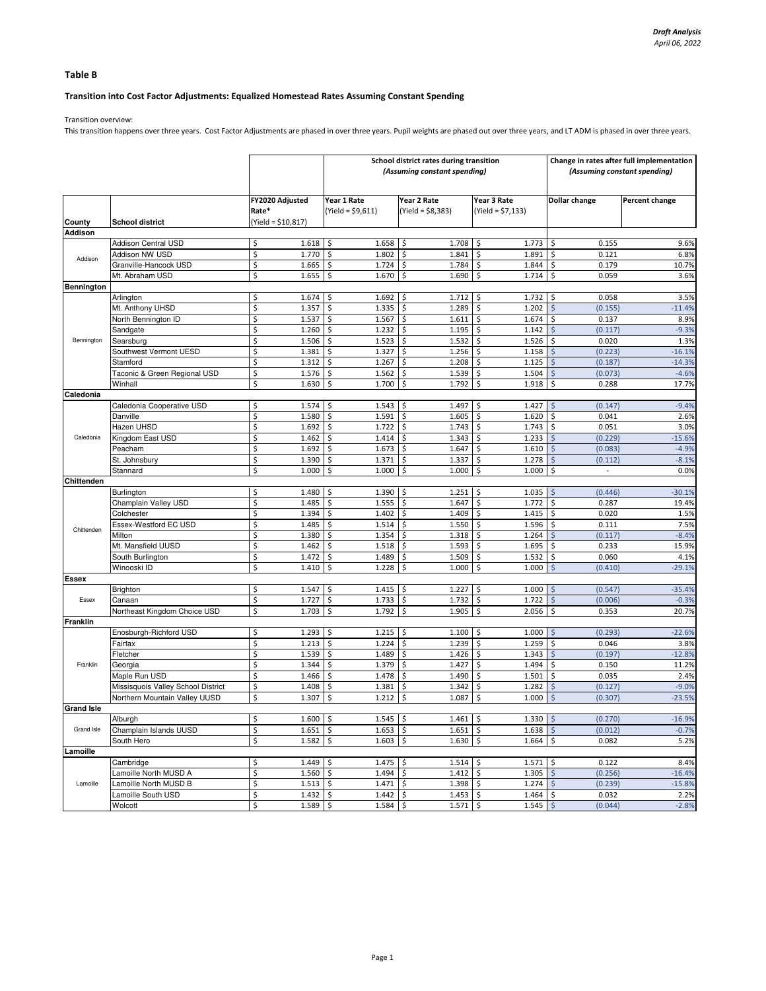## Table B

# Transition into Cost Factor Adjustments: Equalized Homestead Rates Assuming Constant Spending

Transition overview:

This transition happens over three years. Cost Factor Adjustments are phased in over three years. Pupil weights are phased out over three years, and LT ADM is phased in over three years.

|                   |                                    |                                  | School district rates during transition<br>(Assuming constant spending) |                                   |                                   | Change in rates after full implementation<br>(Assuming constant spending) |                |
|-------------------|------------------------------------|----------------------------------|-------------------------------------------------------------------------|-----------------------------------|-----------------------------------|---------------------------------------------------------------------------|----------------|
|                   |                                    | FY2020 Adjusted<br>Rate*         | Year 1 Rate<br>$(Yield = $9,611)$                                       | Year 2 Rate<br>$(Yield = $8,383)$ | Year 3 Rate<br>$(Yield = $7,133)$ | Dollar change                                                             | Percent change |
| County            | <b>School district</b>             | (Yield = \$10,817)               |                                                                         |                                   |                                   |                                                                           |                |
| <b>Addison</b>    |                                    |                                  |                                                                         |                                   |                                   |                                                                           |                |
|                   | <b>Addison Central USD</b>         | \$<br>1.618                      | 1.658<br>-\$                                                            | 1.708<br>l\$                      | 1.773<br>\$.                      | \$<br>0.155                                                               | 9.6%           |
| Addison           | Addison NW USD                     | \$<br>1.770                      | \$<br>1.802                                                             | \$<br>1.841                       | \$<br>1.891                       | \$<br>0.121                                                               | 6.8%           |
|                   | Granville-Hancock USD              | \$<br>1.665                      | \$<br>1.724                                                             | $\ddot{\mathsf{S}}$<br>1.784      | \$<br>1.844                       | \$<br>0.179                                                               | 10.7%          |
|                   | Mt. Abraham USD                    | \$<br>1.655                      | \$<br>1.670                                                             | I\$<br>1.690                      | \$<br>1.714                       | \$<br>0.059                                                               | 3.6%           |
| <b>Bennington</b> |                                    |                                  |                                                                         |                                   |                                   |                                                                           |                |
|                   | Arlington                          | \$<br>1.674                      | \$<br>1.692                                                             | \$<br>1.712                       | 1.732<br>\$                       | \$<br>0.058                                                               | 3.5%           |
|                   | Mt. Anthony UHSD                   | \$<br>1.357                      | \$<br>1.335                                                             | \$<br>1.289                       | \$<br>1.202                       | $\zeta$<br>(0.155)                                                        | $-11.4%$       |
|                   | North Bennington ID                | \$<br>1.537                      | \$<br>1.567                                                             | $\ddot{\mathsf{S}}$<br>1.611      | \$<br>1.674                       | \$<br>0.137                                                               | 8.9%           |
|                   | Sandgate                           | \$<br>1.260                      | \$<br>1.232                                                             | \$<br>1.195                       | \$<br>1.142                       | $\zeta$<br>(0.117)                                                        | $-9.3%$        |
| Bennington        | Searsburg                          | \$<br>1.506                      | \$<br>1.523                                                             | \$<br>1.532                       | \$<br>1.526                       | \$<br>0.020                                                               | 1.3%           |
|                   | Southwest Vermont UESD             | \$<br>1.381                      | \$<br>1.327                                                             | \$<br>1.256                       | \$<br>1.158                       | \$<br>(0.223)                                                             | $-16.1%$       |
|                   | Stamford                           | \$<br>1.312                      | -\$<br>1.267                                                            | $\ddot{\mathsf{S}}$<br>1.208      | 1.125<br>\$                       | $\zeta$<br>(0.187)                                                        | $-14.3%$       |
|                   | Taconic & Green Regional USD       | \$<br>1.576                      | \$<br>1.562                                                             | \$<br>1.539                       | \$<br>1.504                       | \$<br>(0.073)                                                             | $-4.6%$        |
|                   | Winhall                            | \$<br>1.630                      | \$<br>1.700                                                             | \$<br>1.792                       | \$<br>1.918                       | \$<br>0.288                                                               | 17.7%          |
| Caledonia         |                                    |                                  |                                                                         |                                   |                                   |                                                                           |                |
|                   | Caledonia Cooperative USD          | \$<br>1.574                      | \$<br>1.543                                                             | \$<br>1.497                       | 1.427<br>\$                       | $\sqrt{5}$<br>(0.147)                                                     | $-9.4%$        |
|                   | Danville                           | \$<br>1.580                      | \$<br>1.591                                                             | \$<br>1.605                       | \$<br>1.620                       | \$<br>0.041                                                               | 2.6%           |
|                   | Hazen UHSD                         | \$<br>1.692                      | -\$<br>1.722                                                            | \$<br>1.743                       | \$<br>1.743                       | \$<br>0.051                                                               | 3.0%           |
| Caledonia         | Kingdom East USD                   | \$<br>1.462                      | -\$<br>1.414                                                            | \$<br>1.343                       | \$<br>1.233                       | $\zeta$<br>(0.229)                                                        | $-15.6%$       |
|                   | Peacham                            | \$<br>1.692                      | \$<br>1.673                                                             | \$<br>1.647                       | \$<br>1.610                       | \$<br>(0.083)                                                             | $-4.9%$        |
|                   | St. Johnsbury                      | \$<br>1.390                      | \$<br>1.371                                                             | $\ddot{\mathsf{S}}$<br>1.337      | \$<br>1.278                       | $\ddot{\varsigma}$<br>(0.112)                                             | $-8.1%$        |
|                   | Stannard                           | \$<br>1.000                      | \$<br>1.000                                                             | \$<br>1.000                       | \$<br>1.000                       | \$<br>$\omega$                                                            | 0.0%           |
| Chittenden        |                                    |                                  |                                                                         |                                   |                                   |                                                                           |                |
|                   | Burlington                         | \$<br>1.480                      | \$<br>1.390                                                             | \$<br>1.251                       | \$<br>1.035                       | $\sqrt{5}$<br>(0.446)                                                     | $-30.1%$       |
|                   | Champlain Valley USD               | \$<br>1.485                      | \$<br>1.555                                                             | $\ddot{\mathsf{S}}$<br>1.647      | \$<br>1.772                       | \$<br>0.287                                                               | 19.4%          |
|                   | Colchester                         | \$<br>1.394                      | \$<br>1.402                                                             | \$<br>1.409                       | \$<br>1.415                       | \$<br>0.020                                                               | 1.5%           |
|                   | Essex-Westford EC USD              | \$<br>1.485                      | \$<br>1.514                                                             | \$<br>1.550                       | \$<br>1.596                       | \$<br>0.111                                                               | 7.5%           |
| Chittenden        | Milton                             | \$<br>1.380                      | \$<br>1.354                                                             | \$<br>1.318                       | \$<br>1.264                       | $\zeta$<br>(0.117)                                                        | $-8.4%$        |
|                   | Mt. Mansfield UUSD                 | \$<br>1.462                      | 1.518<br>\$                                                             | $\ddot{\mathsf{S}}$<br>1.593      | 1.695<br>\$                       | \$<br>0.233                                                               | 15.9%          |
|                   | South Burlington                   | \$<br>1.472                      | \$<br>1.489                                                             | \$<br>1.509                       | \$<br>1.532                       | \$<br>0.060                                                               | 4.1%           |
|                   | Winooski ID                        | \$<br>1.410                      | \$<br>1.228                                                             | \$<br>1.000                       | \$<br>1.000                       | Ś<br>(0.410)                                                              | $-29.1%$       |
| Essex             |                                    |                                  |                                                                         |                                   |                                   |                                                                           |                |
|                   | Brighton                           | \$<br>1.547                      | 1.415<br>-\$                                                            | -\$<br>1.227                      | $1.000$ \$<br>\$                  | (0.547)                                                                   | $-35.4%$       |
| Essex             | Canaan                             | $\overline{\mathsf{S}}$<br>1.727 | \$<br>1.733                                                             | $\ddot{\mathsf{S}}$               | \$<br>1.722                       | $\zeta$<br>(0.006)                                                        | $-0.3%$        |
|                   |                                    | \$                               | \$                                                                      | 1.732<br>\$                       | \$                                | $\zeta$                                                                   | 20.7%          |
| Franklin          | Northeast Kingdom Choice USD       | 1.703                            | 1.792                                                                   | 1.905                             | 2.056                             | 0.353                                                                     |                |
|                   | Enosburgh-Richford USD             | \$<br>1.293                      | \$<br>1.215                                                             | I\$<br>1.100                      | \$<br>$1.000$ \$                  | (0.293)                                                                   | $-22.6%$       |
|                   |                                    |                                  |                                                                         |                                   |                                   |                                                                           |                |
|                   | Fairfax                            | \$<br>1.213                      | \$<br>1.224                                                             | \$<br>1.239                       | \$<br>1.259                       | \$<br>0.046                                                               | 3.8%           |
|                   | Fletcher                           | \$<br>1.539                      | \$<br>1.489                                                             | \$<br>1.426                       | \$<br>1.343                       | $\zeta$<br>(0.197)                                                        | $-12.8%$       |
| Franklin          | Georgia                            | \$<br>1.344                      | \$<br>1.379                                                             | \$<br>1.427                       | \$<br>1.494                       | \$<br>0.150                                                               | 11.2%          |
|                   | Maple Run USD                      | \$<br>1.466                      | \$<br>1.478                                                             | $\ddot{\mathsf{S}}$<br>1.490      | \$<br>1.501                       | \$<br>0.035                                                               | 2.4%           |
|                   | Missisquois Valley School District | \$<br>1.408                      | 1.381<br>\$                                                             | \$<br>1.342                       | \$<br>1.282                       | $\zeta$<br>(0.127)                                                        | $-9.0%$        |
|                   | Northern Mountain Valley UUSD      | \$<br>1.307                      | \$<br>1.212                                                             | $\dot{\mathsf{S}}$<br>1.087       | \$<br>1.000                       | $\zeta$<br>(0.307)                                                        | $-23.5%$       |
| <b>Grand Isle</b> |                                    |                                  |                                                                         |                                   |                                   |                                                                           |                |
| Grand Isle        | Alburgh                            | \$<br>$1.600$ \$                 | $1.545$ \$                                                              | $1.461 \;$ \$                     | $1.330 \, \simeq$                 | (0.270)                                                                   | $-16.9%$       |
|                   | Champlain Islands UUSD             | \$<br>$1.651$ \$                 | $1.653$ \$                                                              | $1.651$ \$                        | $1.638$ \$                        | (0.012)                                                                   | $-0.7%$        |
|                   | South Hero                         | \$<br>$1.582 \,$ \$              | $1.603$ \$                                                              | $1.630 \,$ \$                     | $1.664$ \$                        | 0.082                                                                     | 5.2%           |
| Lamoille          |                                    |                                  |                                                                         |                                   |                                   |                                                                           |                |
|                   | Cambridge                          | \$<br>$1.449$ \$                 | $1.475$ \$                                                              | $1.514$ \$                        | $1.571$ \$                        | 0.122                                                                     | 8.4%           |
|                   | Lamoille North MUSD A              | \$<br>$1.560$ \$                 | $1.494$ \$                                                              | $1.412$ \$                        | $1.305$ \$                        | (0.256)                                                                   | $-16.4%$       |
| Lamoille          | Lamoille North MUSD B              | \$<br>$1.513$ \$                 | $1.471$ \$                                                              | $1.398$ \$                        | $1.274$ \$                        | (0.239)                                                                   | $-15.8%$       |
|                   | Lamoille South USD                 | \$<br>$1.432 \mid$ \$            | $1.442 \,$ \$                                                           | $1.453$ \$                        | $1.464$ \$                        | 0.032                                                                     | 2.2%           |
|                   | Wolcott                            | \$<br>$1.589$ \$                 | $1.584$ \$                                                              | $1.571$ \$                        | $1.545$ \$                        | (0.044)                                                                   | $-2.8%$        |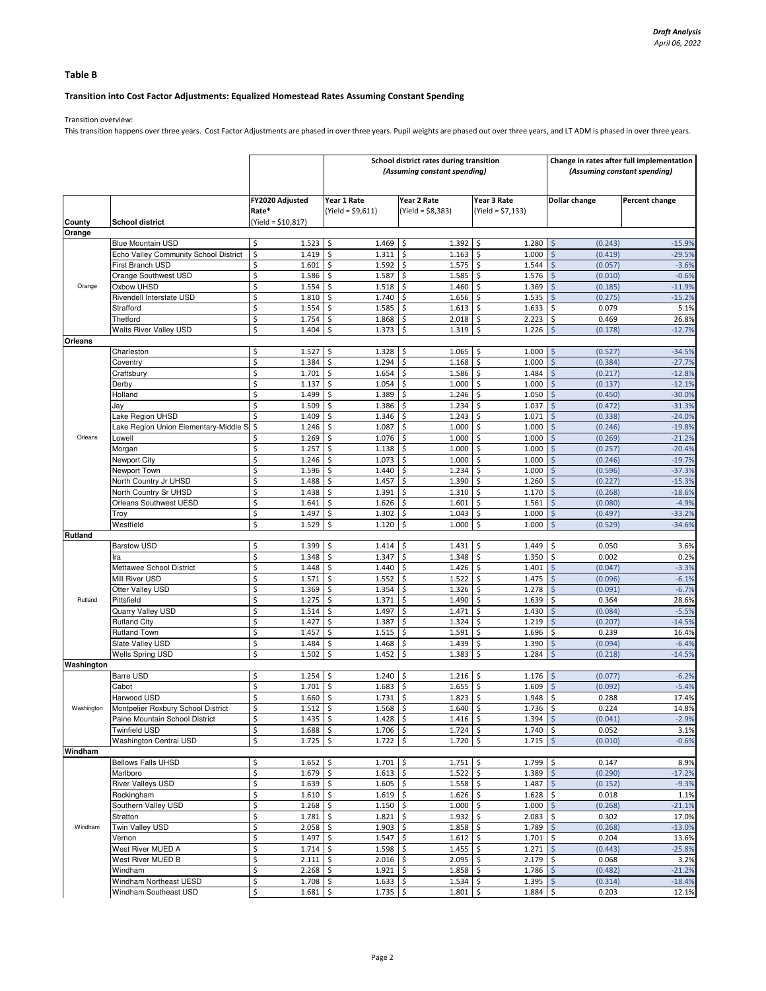## Table B

# Transition into Cost Factor Adjustments: Equalized Homestead Rates Assuming Constant Spending

Transition overview:

This transition happens over three years. Cost Factor Adjustments are phased in over three years. Pupil weights are phased out over three years, and LT ADM is phased in over three years.

|                |                                                                  |                                      |                                      | School district rates during transition<br>(Assuming constant spending) | Change in rates after full implementation<br>(Assuming constant spending) |                                   |                      |
|----------------|------------------------------------------------------------------|--------------------------------------|--------------------------------------|-------------------------------------------------------------------------|---------------------------------------------------------------------------|-----------------------------------|----------------------|
|                |                                                                  | FY2020 Adjusted<br>Rate*             | Year 1 Rate<br>(Yield = \$9,611)     | Year 2 Rate<br>(Yield = \$8,383)                                        | Year 3 Rate<br>(Yield = \$7,133)                                          | Dollar change                     | Percent change       |
| County         | <b>School district</b>                                           | $(Yield = $10,817)$                  |                                      |                                                                         |                                                                           |                                   |                      |
| Orange         |                                                                  |                                      |                                      |                                                                         |                                                                           |                                   |                      |
|                | <b>Blue Mountain USD</b>                                         | \$<br>1.523<br>1.419                 | -\$<br>1.469                         | 1.392<br>\$                                                             | 1.280<br>-\$<br>1.000                                                     | \$<br>(0.243)                     | $-15.9%$             |
|                | Echo Valley Community School District<br><b>First Branch USD</b> | \$<br>\$<br>1.601                    | \$<br>1.311<br>\$<br>1.592           | \$<br>1.163<br>\$<br>1.575                                              | \$<br>\$<br>1.544                                                         | \$<br>(0.419)<br>Ś<br>(0.057)     | $-29.5%$<br>$-3.6%$  |
|                | Orange Southwest USD                                             | \$<br>1.586                          | \$<br>1.587                          | \$<br>1.585                                                             | \$<br>1.576                                                               | \$<br>(0.010)                     | $-0.6%$              |
| Orange         | Oxbow UHSD                                                       | \$<br>1.554                          | \$<br>1.518                          | \$<br>1.460                                                             | \$<br>1.369                                                               | \$<br>(0.185)                     | $-11.9%$             |
|                | Rivendell Interstate USD                                         | \$<br>1.810                          | \$<br>1.740                          | S.<br>1.656                                                             | \$<br>1.535                                                               | \$<br>(0.275)                     | $-15.2%$             |
|                | Strafford                                                        | \$<br>1.554                          | -\$<br>1.585                         | S.<br>1.613                                                             | \$<br>1.633                                                               | \$<br>0.079                       | 5.1%                 |
|                | Thetford                                                         | \$<br>1.754                          | \$<br>1.868                          | -\$<br>2.018                                                            | \$<br>2.223                                                               | 0.469<br>\$                       | 26.8%                |
|                | <b>Waits River Valley USD</b>                                    | \$<br>1.404                          | \$<br>1.373                          | -\$<br>1.319                                                            | \$<br>1.226                                                               | $\mathsf{S}$<br>(0.178)           | $-12.7%$             |
| <b>Orleans</b> |                                                                  |                                      |                                      |                                                                         |                                                                           |                                   |                      |
|                | Charleston                                                       | \$<br>1.527                          | \$<br>1.328                          | \$<br>1.065                                                             | \$<br>1.000                                                               | Ś<br>(0.527)                      | $-34.5%$             |
|                | Coventry<br>Craftsbury                                           | \$<br>1.384<br>\$<br>1.701           | \$<br>1.294<br>\$<br>1.654           | \$<br>1.168<br>\$<br>1.586                                              | \$<br>1.000<br>\$<br>1.484                                                | \$<br>(0.384)<br>(0.217)<br>\$    | $-27.7%$<br>$-12.8%$ |
|                | Derby                                                            | \$<br>1.137                          | \$<br>1.054                          | $\mathsf{\hat{S}}$<br>1.000                                             | \$<br>1.000                                                               | \$<br>(0.137)                     | $-12.1%$             |
|                | Holland                                                          | \$<br>1.499                          | \$<br>1.389                          | $\mathsf{\hat{S}}$<br>1.246                                             | \$<br>1.050                                                               | Ś<br>(0.450)                      | $-30.0%$             |
|                | Jay                                                              | \$<br>1.509                          | \$<br>1.386                          | -\$<br>1.234                                                            | \$<br>1.037                                                               | \$<br>(0.472)                     | $-31.3%$             |
|                | Lake Region UHSD                                                 | \$<br>1.409                          | \$<br>1.346                          | \$<br>1.243                                                             | \$<br>1.071                                                               | \$<br>(0.338)                     | $-24.0%$             |
|                | Lake Region Union Elementary-Middle S                            | \$<br>1.246                          | \$<br>1.087                          | \$<br>1.000                                                             | \$<br>1.000                                                               | \$<br>(0.246)                     | $-19.8%$             |
| Orleans        | Lowell                                                           | \$<br>1.269                          | \$<br>1.076                          | $\mathsf{\hat{S}}$<br>1.000                                             | \$<br>1.000                                                               | $\zeta$<br>(0.269)                | $-21.2%$             |
|                | Morgan                                                           | \$<br>1.257                          | \$<br>1.138                          | \$<br>1.000                                                             | \$<br>1.000                                                               | \$<br>(0.257)                     | $-20.4%$             |
|                | Newport City                                                     | \$<br>1.246                          | \$<br>1.073                          | S.<br>1.000                                                             | \$<br>1.000                                                               | (0.246)<br>Ś                      | $-19.7%$             |
|                | Newport Town                                                     | \$<br>1.596                          | \$<br>1.440                          | \$<br>1.234                                                             | \$<br>1.000                                                               | (0.596)<br>Ś                      | $-37.3%$             |
|                | North Country Jr UHSD<br>North Country Sr UHSD                   | \$<br>1.488<br>\$<br>1.438           | \$<br>1.457<br>\$<br>1.391           | $\mathsf{\hat{S}}$<br>1.390<br>$\mathsf{\hat{S}}$<br>1.310              | \$<br>1.260<br>\$<br>1.170                                                | \$<br>(0.227)<br>Ś                | $-15.3%$<br>$-18.6%$ |
|                | Orleans Southwest UESD                                           | \$<br>1.641                          | \$<br>1.626                          | -\$<br>1.601                                                            | \$<br>1.561                                                               | (0.268)<br>\$<br>(0.080)          | $-4.9%$              |
|                | Troy                                                             | \$<br>1.497                          | \$<br>1.302                          | \$<br>1.043                                                             | \$<br>1.000                                                               | (0.497)<br>\$                     | $-33.2%$             |
|                | Westfield                                                        | \$<br>1.529                          | \$<br>1.120                          | \$<br>1.000                                                             | \$<br>1.000                                                               | \$<br>(0.529)                     | $-34.6%$             |
| <b>Rutland</b> |                                                                  |                                      |                                      |                                                                         |                                                                           |                                   |                      |
|                | <b>Barstow USD</b>                                               | \$<br>1.399                          | \$<br>1.414                          | \$<br>1.431                                                             | 1.449<br>\$                                                               | 0.050<br>\$                       | 3.6%                 |
|                | Ira                                                              | \$<br>1.348                          | \$<br>1.347                          | 1.348<br>\$                                                             | \$<br>1.350                                                               | 0.002<br>\$.                      | 0.2%                 |
|                | Mettawee School District                                         | \$<br>1.448                          | \$<br>1.440                          | S.<br>1.426                                                             | \$<br>1.401                                                               | \$<br>(0.047)                     | $-3.3%$              |
|                | Mill River USD                                                   | \$<br>1.571                          | -\$<br>1.552                         | -\$<br>1.522                                                            | \$<br>1.475                                                               | \$<br>(0.096)                     | $-6.1%$              |
| Rutland        | Otter Valley USD<br>Pittsfield                                   | \$<br>1.369<br>\$<br>1.275           | \$<br>1.354<br>\$<br>1.371           | -\$<br>1.326<br>\$<br>1.490                                             | 1.278<br>\$<br>\$<br>1.639                                                | Ś<br>(0.091)<br>0.364             | $-6.7%$<br>28.6%     |
|                | Quarry Valley USD                                                | \$<br>1.514                          | \$<br>1.497                          | \$<br>1.471                                                             | \$<br>1.430                                                               | \$.<br>Ś<br>(0.084)               | $-5.5%$              |
|                | <b>Rutland City</b>                                              | \$<br>1.427                          | \$<br>1.387                          | $\mathsf{\hat{S}}$<br>1.324                                             | \$<br>1.219                                                               | \$<br>(0.207)                     | $-14.5%$             |
|                | <b>Rutland Town</b>                                              | \$<br>1.457                          | \$<br>1.515                          | \$<br>1.591                                                             | \$<br>1.696                                                               | \$<br>0.239                       | 16.4%                |
|                | Slate Valley USD                                                 | \$<br>1.484                          | \$<br>1.468                          | \$<br>1.439                                                             | \$<br>1.390                                                               | (0.094)<br>\$                     | $-6.4%$              |
|                | <b>Wells Spring USD</b>                                          | \$<br>1.502                          | \$<br>1.452                          | $\mathsf{\hat{S}}$<br>1.383                                             | \$<br>1.284                                                               | Ś<br>(0.218)                      | $-14.5%$             |
| Washington     |                                                                  |                                      |                                      |                                                                         |                                                                           |                                   |                      |
|                | <b>Barre USD</b>                                                 | \$<br>$1.254$ \$                     | 1.240                                | \$<br>$1.216$ \$                                                        | 1.176                                                                     | $\zeta$<br>(0.077)                | $-6.2%$              |
|                | Cabot                                                            | \$<br>1.701                          | \$<br>1.683                          | S.<br>1.655                                                             | \$<br>1.609                                                               | (0.092)<br>ς                      | $-5.4%$              |
|                | Harwood USD                                                      | \$<br>1.660                          | \$<br>1.731                          | \$<br>1.823                                                             | \$<br>1.948                                                               | $\zeta$<br>0.288                  | 17.4%                |
| Washington     | Montpelier Roxbury School District                               | Ś<br>1.512                           | $\mathsf{\hat{S}}$<br>1.568<br>1.428 | $\mathsf{\hat{S}}$<br>1.640<br>1.416                                    | \$<br>1.736<br>1.394                                                      | \$<br>0.224                       | 14.8%                |
|                | Paine Mountain School District<br><b>Twinfield USD</b>           | \$<br>$1.435$ \$<br>\$<br>$1.688$ \$ | 1.706                                | \$<br>1.724<br>\$                                                       | \$<br>\$<br>1.740                                                         | \$<br>(0.041)<br>\$<br>0.052      | $-2.9%$<br>3.1%      |
|                | <b>Washington Central USD</b>                                    | \$<br>$1.725$ \$                     | 1.722                                | $1.720$ \$<br>-\$                                                       | 1.715                                                                     | $\frac{1}{2}$<br>(0.010)          | $-0.6%$              |
| Windham        |                                                                  |                                      |                                      |                                                                         |                                                                           |                                   |                      |
|                | <b>Bellows Falls UHSD</b>                                        | \$<br>$1.652$ \$                     | 1.701                                | -\$<br>$1.751$ \$                                                       | 1.799                                                                     | \$<br>0.147                       | 8.9%                 |
|                | Marlboro                                                         | \$<br>$1.679$ \$                     | $1.613$ \$                           | $1.522$ \$                                                              | 1.389                                                                     | $\frac{1}{2}$<br>(0.290)          | $-17.2%$             |
|                | <b>River Valleys USD</b>                                         | \$<br>$1.639$ \$                     | $1.605$ \$                           | $1.558$ \$                                                              | 1.487                                                                     | $\ddot{\mathsf{S}}$<br>(0.152)    | $-9.3%$              |
|                | Rockingham                                                       | \$<br>$1.610 \pm$                    | 1.619                                | \$<br>$1.626$ \$                                                        | 1.628                                                                     | \$<br>0.018                       | 1.1%                 |
|                | Southern Valley USD                                              | \$<br>$1.268$ \$                     | 1.150                                | \$<br>1.000                                                             | \$<br>1.000                                                               | $\zeta$<br>(0.268)                | $-21.1%$             |
|                | Stratton                                                         | \$<br>$1.781$ \$                     | 1.821                                | $\ddot{\mathsf{S}}$<br>$1.932 \,$ \$                                    | 2.083                                                                     | 0.302<br>\$                       | 17.0%                |
| Windham        | Twin Valley USD<br>Vernon                                        | \$<br>$2.058$ \$<br>\$<br>$1.497$ \$ | 1.903<br>1.547                       | -\$<br>$1.858$ \$<br>\$<br>$1.612 \,$ \$                                | 1.789<br>1.701                                                            | $\zeta$<br>(0.268)<br>\$<br>0.204 | $-13.0%$<br>13.6%    |
|                | West River MUED A                                                | \$<br>$1.714$ \$                     | 1.598                                | \$<br>$1.455$ \$                                                        | 1.271                                                                     | $\frac{1}{2}$<br>(0.443)          | $-25.8%$             |
|                | West River MUED B                                                | \$<br>$2.111 \,$ \$                  | $2.016$ \$                           | $2.095$ \$                                                              | 2.179                                                                     | \$<br>0.068                       | 3.2%                 |
|                | Windham                                                          | \$<br>$2.268$ \$                     | $1.921$ \$                           | $1.858$ \$                                                              | 1.786                                                                     | $\zeta$<br>(0.482)                | $-21.2%$             |
|                | Windham Northeast UESD                                           | \$<br>$1.708$ \$                     | $1.633$ \$                           | 1.534                                                                   | \$<br>1.395                                                               | \$<br>(0.314)                     | $-18.4%$             |
|                | Windham Southeast USD                                            | \$<br>$1.681$ \$                     | 1.735                                | \$<br>1.801                                                             | \$<br>1.884                                                               | \$<br>0.203                       | 12.1%                |